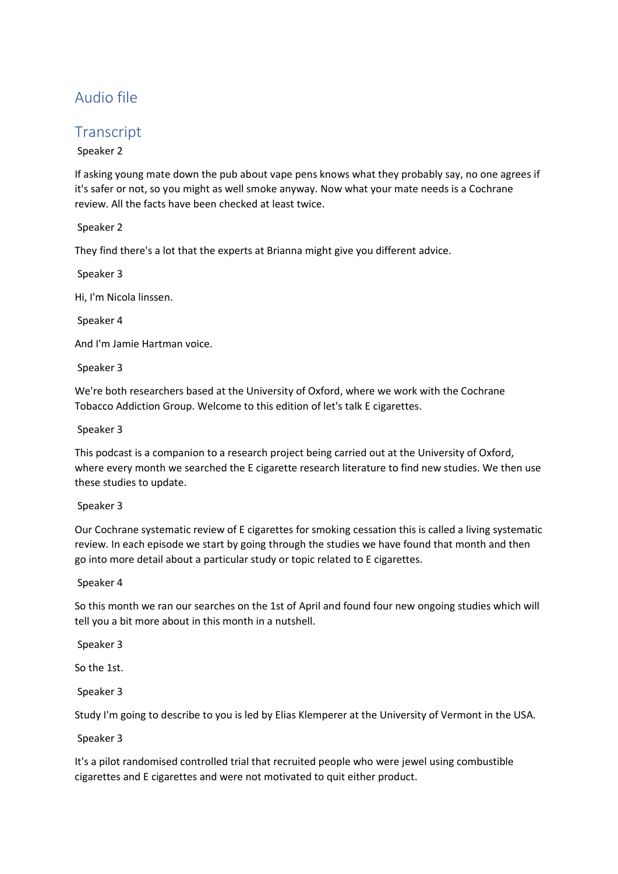# Audio file

# **Transcript**

Speaker 2

If asking young mate down the pub about vape pens knows what they probably say, no one agrees if it's safer or not, so you might as well smoke anyway. Now what your mate needs is a Cochrane review. All the facts have been checked at least twice.

Speaker 2

They find there's a lot that the experts at Brianna might give you different advice.

Speaker 3

Hi, I'm Nicola linssen.

Speaker 4

And I'm Jamie Hartman voice.

Speaker 3

We're both researchers based at the University of Oxford, where we work with the Cochrane Tobacco Addiction Group. Welcome to this edition of let's talk E cigarettes.

Speaker 3

This podcast is a companion to a research project being carried out at the University of Oxford, where every month we searched the E cigarette research literature to find new studies. We then use these studies to update.

Speaker 3

Our Cochrane systematic review of E cigarettes for smoking cessation this is called a living systematic review. In each episode we start by going through the studies we have found that month and then go into more detail about a particular study or topic related to E cigarettes.

Speaker 4

So this month we ran our searches on the 1st of April and found four new ongoing studies which will tell you a bit more about in this month in a nutshell.

Speaker 3

So the 1st.

Speaker 3

Study I'm going to describe to you is led by Elias Klemperer at the University of Vermont in the USA.

Speaker 3

It's a pilot randomised controlled trial that recruited people who were jewel using combustible cigarettes and E cigarettes and were not motivated to quit either product.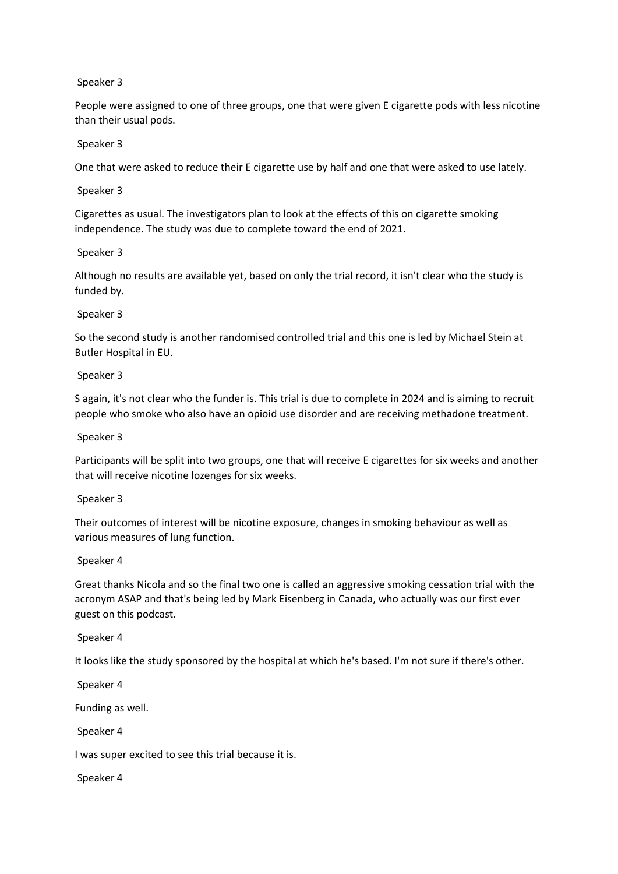People were assigned to one of three groups, one that were given E cigarette pods with less nicotine than their usual pods.

### Speaker 3

One that were asked to reduce their E cigarette use by half and one that were asked to use lately.

Speaker 3

Cigarettes as usual. The investigators plan to look at the effects of this on cigarette smoking independence. The study was due to complete toward the end of 2021.

## Speaker 3

Although no results are available yet, based on only the trial record, it isn't clear who the study is funded by.

## Speaker 3

So the second study is another randomised controlled trial and this one is led by Michael Stein at Butler Hospital in EU.

## Speaker 3

S again, it's not clear who the funder is. This trial is due to complete in 2024 and is aiming to recruit people who smoke who also have an opioid use disorder and are receiving methadone treatment.

### Speaker 3

Participants will be split into two groups, one that will receive E cigarettes for six weeks and another that will receive nicotine lozenges for six weeks.

#### Speaker 3

Their outcomes of interest will be nicotine exposure, changes in smoking behaviour as well as various measures of lung function.

#### Speaker 4

Great thanks Nicola and so the final two one is called an aggressive smoking cessation trial with the acronym ASAP and that's being led by Mark Eisenberg in Canada, who actually was our first ever guest on this podcast.

# Speaker 4

It looks like the study sponsored by the hospital at which he's based. I'm not sure if there's other.

Speaker 4

Funding as well.

Speaker 4

I was super excited to see this trial because it is.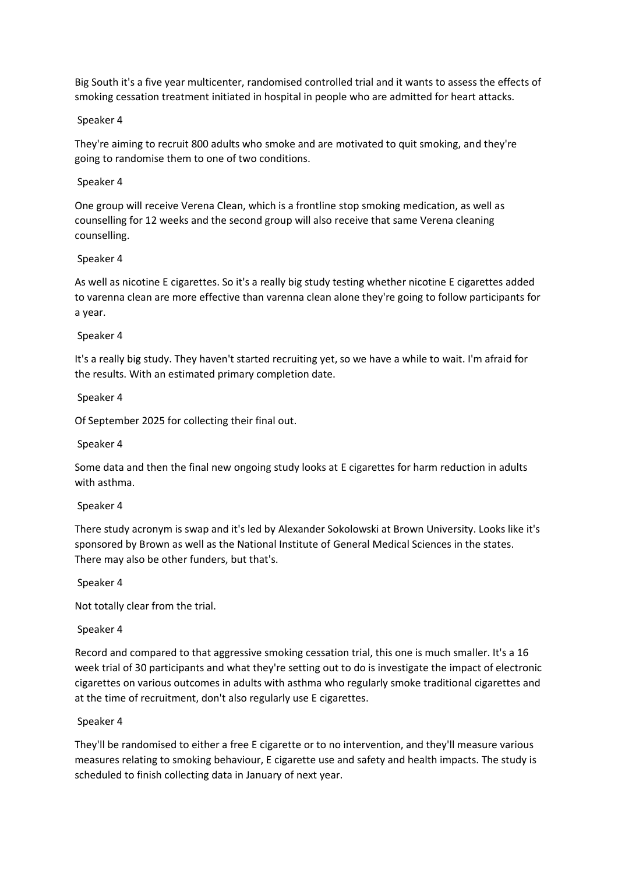Big South it's a five year multicenter, randomised controlled trial and it wants to assess the effects of smoking cessation treatment initiated in hospital in people who are admitted for heart attacks.

### Speaker 4

They're aiming to recruit 800 adults who smoke and are motivated to quit smoking, and they're going to randomise them to one of two conditions.

## Speaker 4

One group will receive Verena Clean, which is a frontline stop smoking medication, as well as counselling for 12 weeks and the second group will also receive that same Verena cleaning counselling.

## Speaker 4

As well as nicotine E cigarettes. So it's a really big study testing whether nicotine E cigarettes added to varenna clean are more effective than varenna clean alone they're going to follow participants for a year.

## Speaker 4

It's a really big study. They haven't started recruiting yet, so we have a while to wait. I'm afraid for the results. With an estimated primary completion date.

## Speaker 4

Of September 2025 for collecting their final out.

#### Speaker 4

Some data and then the final new ongoing study looks at E cigarettes for harm reduction in adults with asthma.

#### Speaker 4

There study acronym is swap and it's led by Alexander Sokolowski at Brown University. Looks like it's sponsored by Brown as well as the National Institute of General Medical Sciences in the states. There may also be other funders, but that's.

#### Speaker 4

Not totally clear from the trial.

# Speaker 4

Record and compared to that aggressive smoking cessation trial, this one is much smaller. It's a 16 week trial of 30 participants and what they're setting out to do is investigate the impact of electronic cigarettes on various outcomes in adults with asthma who regularly smoke traditional cigarettes and at the time of recruitment, don't also regularly use E cigarettes.

#### Speaker 4

They'll be randomised to either a free E cigarette or to no intervention, and they'll measure various measures relating to smoking behaviour, E cigarette use and safety and health impacts. The study is scheduled to finish collecting data in January of next year.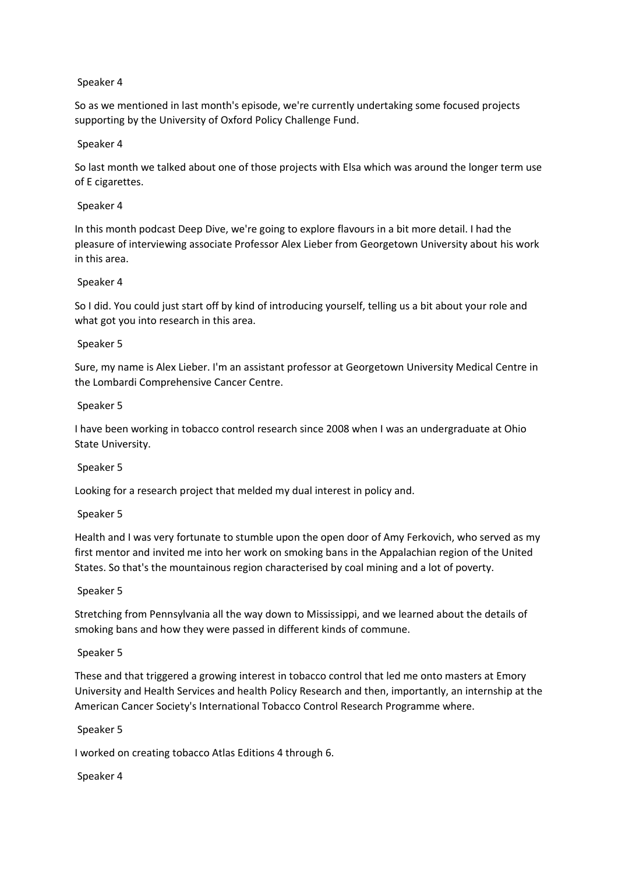So as we mentioned in last month's episode, we're currently undertaking some focused projects supporting by the University of Oxford Policy Challenge Fund.

### Speaker 4

So last month we talked about one of those projects with Elsa which was around the longer term use of E cigarettes.

### Speaker 4

In this month podcast Deep Dive, we're going to explore flavours in a bit more detail. I had the pleasure of interviewing associate Professor Alex Lieber from Georgetown University about his work in this area.

## Speaker 4

So I did. You could just start off by kind of introducing yourself, telling us a bit about your role and what got you into research in this area.

## Speaker 5

Sure, my name is Alex Lieber. I'm an assistant professor at Georgetown University Medical Centre in the Lombardi Comprehensive Cancer Centre.

#### Speaker 5

I have been working in tobacco control research since 2008 when I was an undergraduate at Ohio State University.

#### Speaker 5

Looking for a research project that melded my dual interest in policy and.

#### Speaker 5

Health and I was very fortunate to stumble upon the open door of Amy Ferkovich, who served as my first mentor and invited me into her work on smoking bans in the Appalachian region of the United States. So that's the mountainous region characterised by coal mining and a lot of poverty.

#### Speaker 5

Stretching from Pennsylvania all the way down to Mississippi, and we learned about the details of smoking bans and how they were passed in different kinds of commune.

#### Speaker 5

These and that triggered a growing interest in tobacco control that led me onto masters at Emory University and Health Services and health Policy Research and then, importantly, an internship at the American Cancer Society's International Tobacco Control Research Programme where.

#### Speaker 5

I worked on creating tobacco Atlas Editions 4 through 6.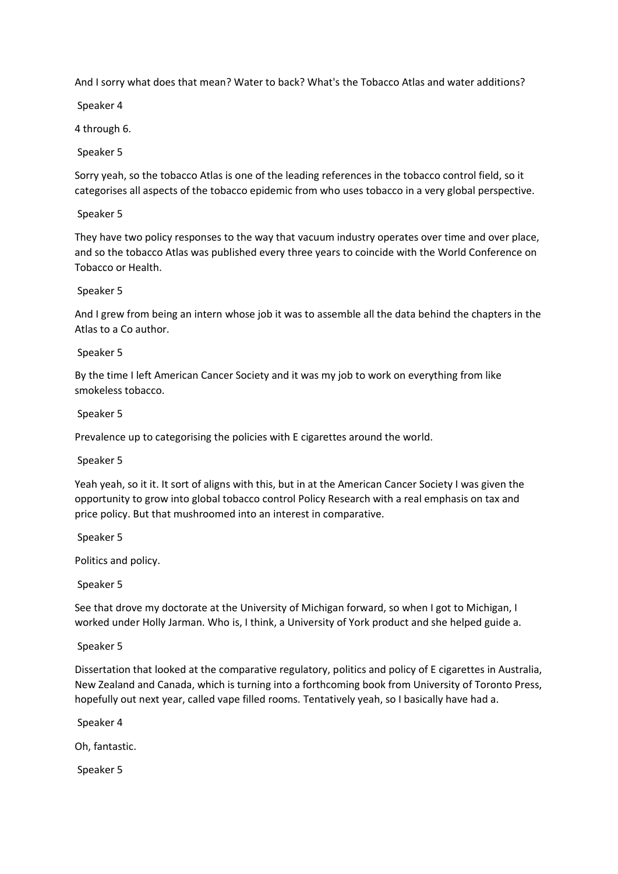And I sorry what does that mean? Water to back? What's the Tobacco Atlas and water additions?

Speaker 4

4 through 6.

Speaker 5

Sorry yeah, so the tobacco Atlas is one of the leading references in the tobacco control field, so it categorises all aspects of the tobacco epidemic from who uses tobacco in a very global perspective.

Speaker 5

They have two policy responses to the way that vacuum industry operates over time and over place, and so the tobacco Atlas was published every three years to coincide with the World Conference on Tobacco or Health.

## Speaker 5

And I grew from being an intern whose job it was to assemble all the data behind the chapters in the Atlas to a Co author.

## Speaker 5

By the time I left American Cancer Society and it was my job to work on everything from like smokeless tobacco.

## Speaker 5

Prevalence up to categorising the policies with E cigarettes around the world.

Speaker 5

Yeah yeah, so it it. It sort of aligns with this, but in at the American Cancer Society I was given the opportunity to grow into global tobacco control Policy Research with a real emphasis on tax and price policy. But that mushroomed into an interest in comparative.

Speaker 5

Politics and policy.

Speaker 5

See that drove my doctorate at the University of Michigan forward, so when I got to Michigan, I worked under Holly Jarman. Who is, I think, a University of York product and she helped guide a.

Speaker 5

Dissertation that looked at the comparative regulatory, politics and policy of E cigarettes in Australia, New Zealand and Canada, which is turning into a forthcoming book from University of Toronto Press, hopefully out next year, called vape filled rooms. Tentatively yeah, so I basically have had a.

Speaker 4

Oh, fantastic.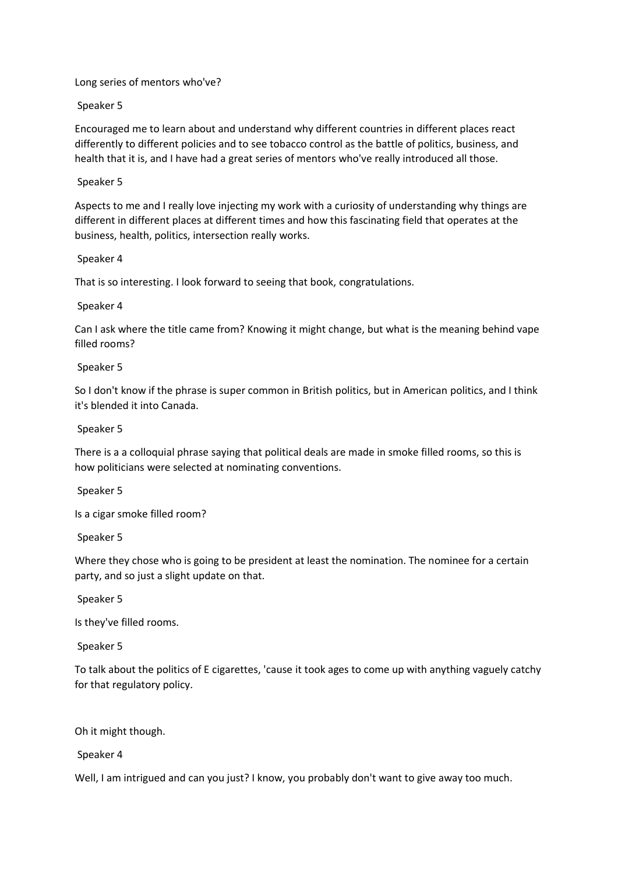### Long series of mentors who've?

## Speaker 5

Encouraged me to learn about and understand why different countries in different places react differently to different policies and to see tobacco control as the battle of politics, business, and health that it is, and I have had a great series of mentors who've really introduced all those.

### Speaker 5

Aspects to me and I really love injecting my work with a curiosity of understanding why things are different in different places at different times and how this fascinating field that operates at the business, health, politics, intersection really works.

#### Speaker 4

That is so interesting. I look forward to seeing that book, congratulations.

## Speaker 4

Can I ask where the title came from? Knowing it might change, but what is the meaning behind vape filled rooms?

#### Speaker 5

So I don't know if the phrase is super common in British politics, but in American politics, and I think it's blended it into Canada.

## Speaker 5

There is a a colloquial phrase saying that political deals are made in smoke filled rooms, so this is how politicians were selected at nominating conventions.

Speaker 5

Is a cigar smoke filled room?

Speaker 5

Where they chose who is going to be president at least the nomination. The nominee for a certain party, and so just a slight update on that.

Speaker 5

Is they've filled rooms.

Speaker 5

To talk about the politics of E cigarettes, 'cause it took ages to come up with anything vaguely catchy for that regulatory policy.

# Oh it might though.

#### Speaker 4

Well, I am intrigued and can you just? I know, you probably don't want to give away too much.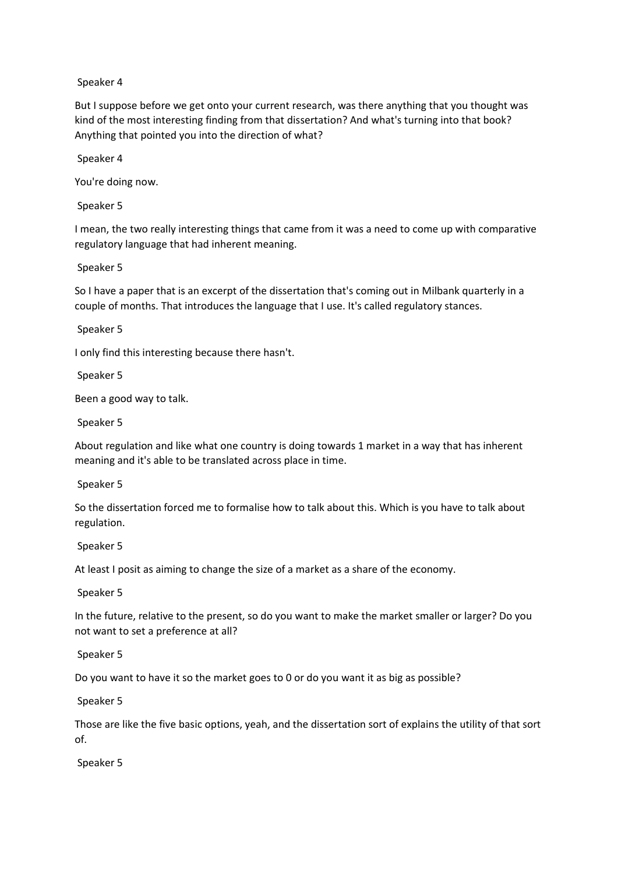But I suppose before we get onto your current research, was there anything that you thought was kind of the most interesting finding from that dissertation? And what's turning into that book? Anything that pointed you into the direction of what?

Speaker 4

You're doing now.

Speaker 5

I mean, the two really interesting things that came from it was a need to come up with comparative regulatory language that had inherent meaning.

## Speaker 5

So I have a paper that is an excerpt of the dissertation that's coming out in Milbank quarterly in a couple of months. That introduces the language that I use. It's called regulatory stances.

Speaker 5

I only find this interesting because there hasn't.

Speaker 5

Been a good way to talk.

Speaker 5

About regulation and like what one country is doing towards 1 market in a way that has inherent meaning and it's able to be translated across place in time.

#### Speaker 5

So the dissertation forced me to formalise how to talk about this. Which is you have to talk about regulation.

#### Speaker 5

At least I posit as aiming to change the size of a market as a share of the economy.

#### Speaker 5

In the future, relative to the present, so do you want to make the market smaller or larger? Do you not want to set a preference at all?

Speaker 5

Do you want to have it so the market goes to 0 or do you want it as big as possible?

Speaker 5

Those are like the five basic options, yeah, and the dissertation sort of explains the utility of that sort of.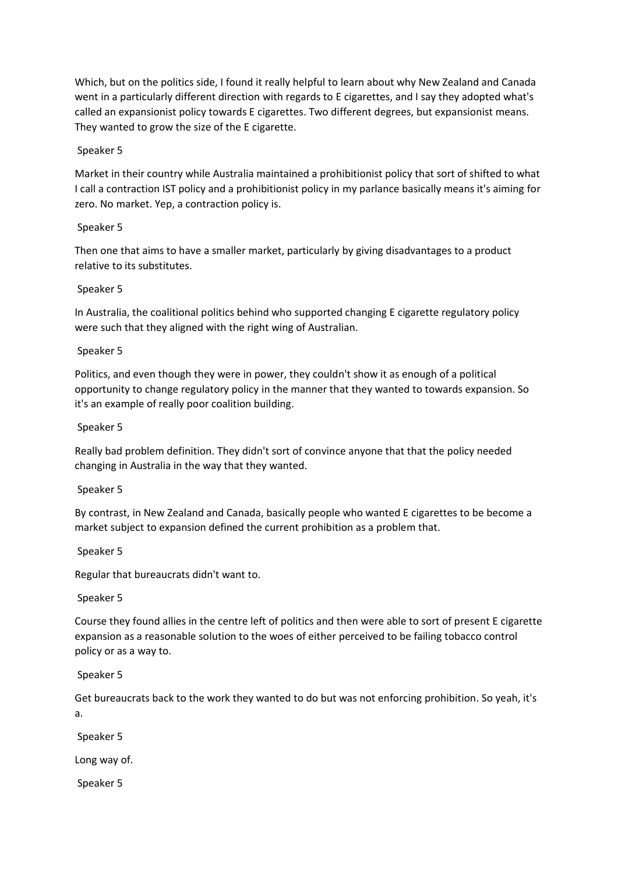Which, but on the politics side, I found it really helpful to learn about why New Zealand and Canada went in a particularly different direction with regards to E cigarettes, and I say they adopted what's called an expansionist policy towards E cigarettes. Two different degrees, but expansionist means. They wanted to grow the size of the E cigarette.

## Speaker 5

Market in their country while Australia maintained a prohibitionist policy that sort of shifted to what I call a contraction IST policy and a prohibitionist policy in my parlance basically means it's aiming for zero. No market. Yep, a contraction policy is.

# Speaker 5

Then one that aims to have a smaller market, particularly by giving disadvantages to a product relative to its substitutes.

## Speaker 5

In Australia, the coalitional politics behind who supported changing E cigarette regulatory policy were such that they aligned with the right wing of Australian.

## Speaker 5

Politics, and even though they were in power, they couldn't show it as enough of a political opportunity to change regulatory policy in the manner that they wanted to towards expansion. So it's an example of really poor coalition building.

## Speaker 5

Really bad problem definition. They didn't sort of convince anyone that that the policy needed changing in Australia in the way that they wanted.

# Speaker 5

By contrast, in New Zealand and Canada, basically people who wanted E cigarettes to be become a market subject to expansion defined the current prohibition as a problem that.

Speaker 5

Regular that bureaucrats didn't want to.

#### Speaker 5

Course they found allies in the centre left of politics and then were able to sort of present E cigarette expansion as a reasonable solution to the woes of either perceived to be failing tobacco control policy or as a way to.

Speaker 5

Get bureaucrats back to the work they wanted to do but was not enforcing prohibition. So yeah, it's a.

Speaker 5

Long way of.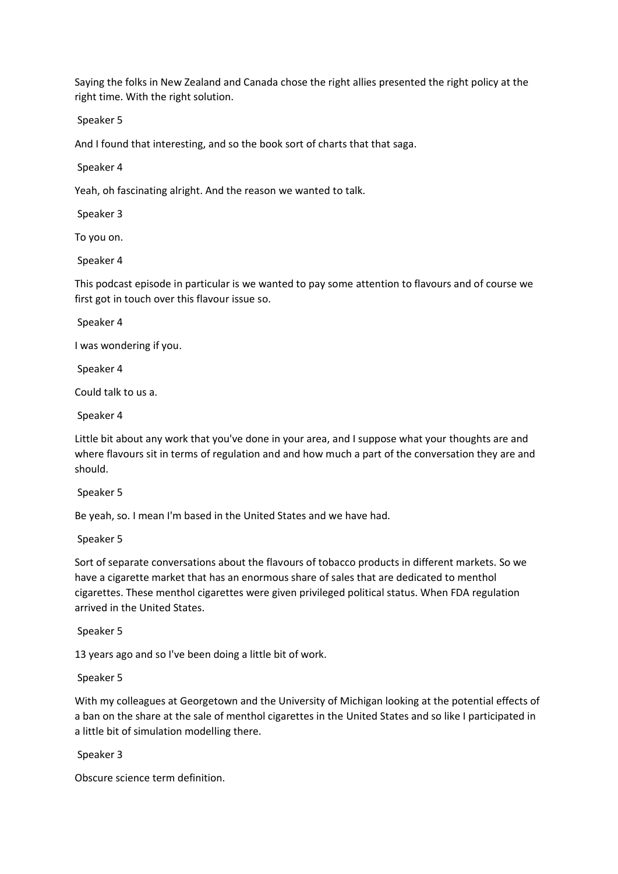Saying the folks in New Zealand and Canada chose the right allies presented the right policy at the right time. With the right solution.

Speaker 5

And I found that interesting, and so the book sort of charts that that saga.

Speaker 4

Yeah, oh fascinating alright. And the reason we wanted to talk.

Speaker 3

To you on.

Speaker 4

This podcast episode in particular is we wanted to pay some attention to flavours and of course we first got in touch over this flavour issue so.

Speaker 4

I was wondering if you.

Speaker 4

Could talk to us a.

Speaker 4

Little bit about any work that you've done in your area, and I suppose what your thoughts are and where flavours sit in terms of regulation and and how much a part of the conversation they are and should.

Speaker 5

Be yeah, so. I mean I'm based in the United States and we have had.

Speaker 5

Sort of separate conversations about the flavours of tobacco products in different markets. So we have a cigarette market that has an enormous share of sales that are dedicated to menthol cigarettes. These menthol cigarettes were given privileged political status. When FDA regulation arrived in the United States.

Speaker 5

13 years ago and so I've been doing a little bit of work.

Speaker 5

With my colleagues at Georgetown and the University of Michigan looking at the potential effects of a ban on the share at the sale of menthol cigarettes in the United States and so like I participated in a little bit of simulation modelling there.

Speaker 3

Obscure science term definition.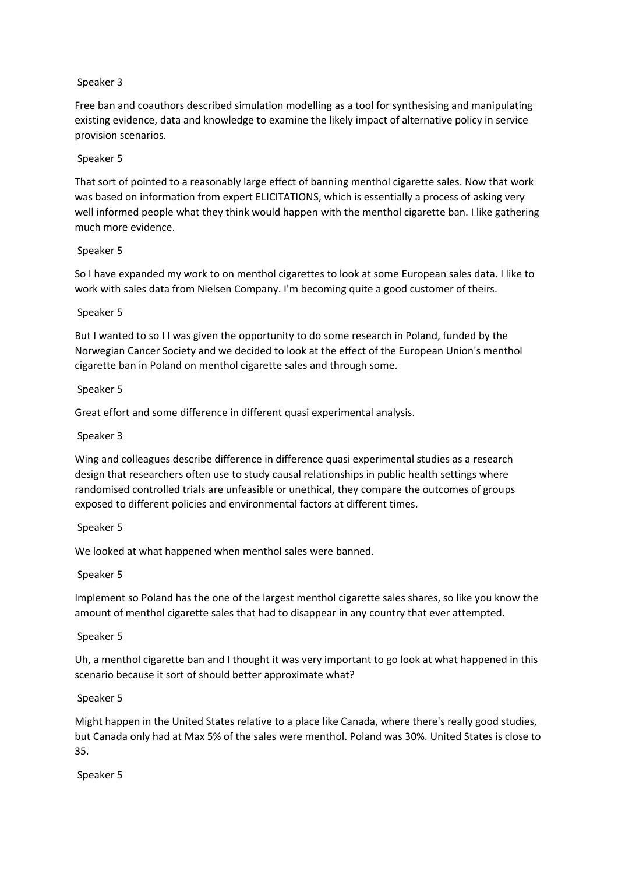Free ban and coauthors described simulation modelling as a tool for synthesising and manipulating existing evidence, data and knowledge to examine the likely impact of alternative policy in service provision scenarios.

## Speaker 5

That sort of pointed to a reasonably large effect of banning menthol cigarette sales. Now that work was based on information from expert ELICITATIONS, which is essentially a process of asking very well informed people what they think would happen with the menthol cigarette ban. I like gathering much more evidence.

## Speaker 5

So I have expanded my work to on menthol cigarettes to look at some European sales data. I like to work with sales data from Nielsen Company. I'm becoming quite a good customer of theirs.

## Speaker 5

But I wanted to so I I was given the opportunity to do some research in Poland, funded by the Norwegian Cancer Society and we decided to look at the effect of the European Union's menthol cigarette ban in Poland on menthol cigarette sales and through some.

## Speaker 5

Great effort and some difference in different quasi experimental analysis.

## Speaker 3

Wing and colleagues describe difference in difference quasi experimental studies as a research design that researchers often use to study causal relationships in public health settings where randomised controlled trials are unfeasible or unethical, they compare the outcomes of groups exposed to different policies and environmental factors at different times.

#### Speaker 5

We looked at what happened when menthol sales were banned.

#### Speaker 5

Implement so Poland has the one of the largest menthol cigarette sales shares, so like you know the amount of menthol cigarette sales that had to disappear in any country that ever attempted.

#### Speaker 5

Uh, a menthol cigarette ban and I thought it was very important to go look at what happened in this scenario because it sort of should better approximate what?

#### Speaker 5

Might happen in the United States relative to a place like Canada, where there's really good studies, but Canada only had at Max 5% of the sales were menthol. Poland was 30%. United States is close to 35.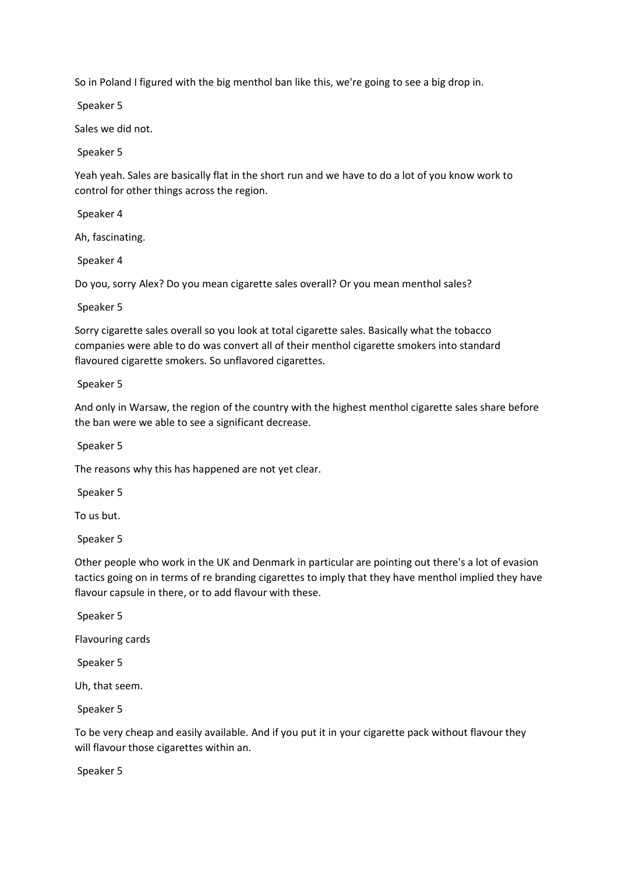So in Poland I figured with the big menthol ban like this, we're going to see a big drop in.

Speaker 5

Sales we did not.

Speaker 5

Yeah yeah. Sales are basically flat in the short run and we have to do a lot of you know work to control for other things across the region.

Speaker 4

Ah, fascinating.

Speaker 4

Do you, sorry Alex? Do you mean cigarette sales overall? Or you mean menthol sales?

Speaker 5

Sorry cigarette sales overall so you look at total cigarette sales. Basically what the tobacco companies were able to do was convert all of their menthol cigarette smokers into standard flavoured cigarette smokers. So unflavored cigarettes.

Speaker 5

And only in Warsaw, the region of the country with the highest menthol cigarette sales share before the ban were we able to see a significant decrease.

Speaker 5

The reasons why this has happened are not yet clear.

Speaker 5

To us but.

Speaker 5

Other people who work in the UK and Denmark in particular are pointing out there's a lot of evasion tactics going on in terms of re branding cigarettes to imply that they have menthol implied they have flavour capsule in there, or to add flavour with these.

Speaker 5

Flavouring cards

Speaker 5

Uh, that seem.

Speaker 5

To be very cheap and easily available. And if you put it in your cigarette pack without flavour they will flavour those cigarettes within an.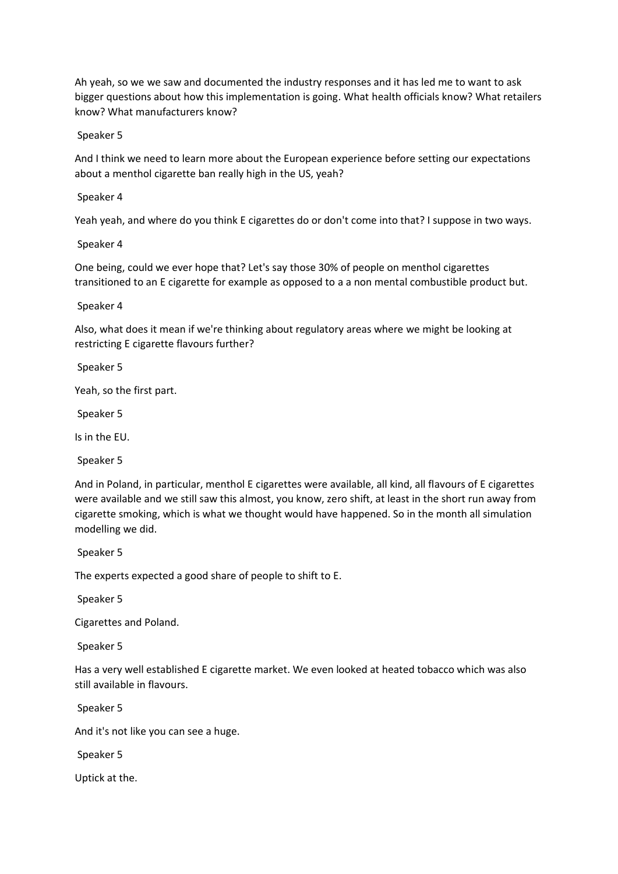Ah yeah, so we we saw and documented the industry responses and it has led me to want to ask bigger questions about how this implementation is going. What health officials know? What retailers know? What manufacturers know?

Speaker 5

And I think we need to learn more about the European experience before setting our expectations about a menthol cigarette ban really high in the US, yeah?

Speaker 4

Yeah yeah, and where do you think E cigarettes do or don't come into that? I suppose in two ways.

Speaker 4

One being, could we ever hope that? Let's say those 30% of people on menthol cigarettes transitioned to an E cigarette for example as opposed to a a non mental combustible product but.

Speaker 4

Also, what does it mean if we're thinking about regulatory areas where we might be looking at restricting E cigarette flavours further?

Speaker 5

Yeah, so the first part.

Speaker 5

Is in the EU.

Speaker 5

And in Poland, in particular, menthol E cigarettes were available, all kind, all flavours of E cigarettes were available and we still saw this almost, you know, zero shift, at least in the short run away from cigarette smoking, which is what we thought would have happened. So in the month all simulation modelling we did.

Speaker 5

The experts expected a good share of people to shift to E.

Speaker 5

Cigarettes and Poland.

Speaker 5

Has a very well established E cigarette market. We even looked at heated tobacco which was also still available in flavours.

Speaker 5

And it's not like you can see a huge.

Speaker 5

Uptick at the.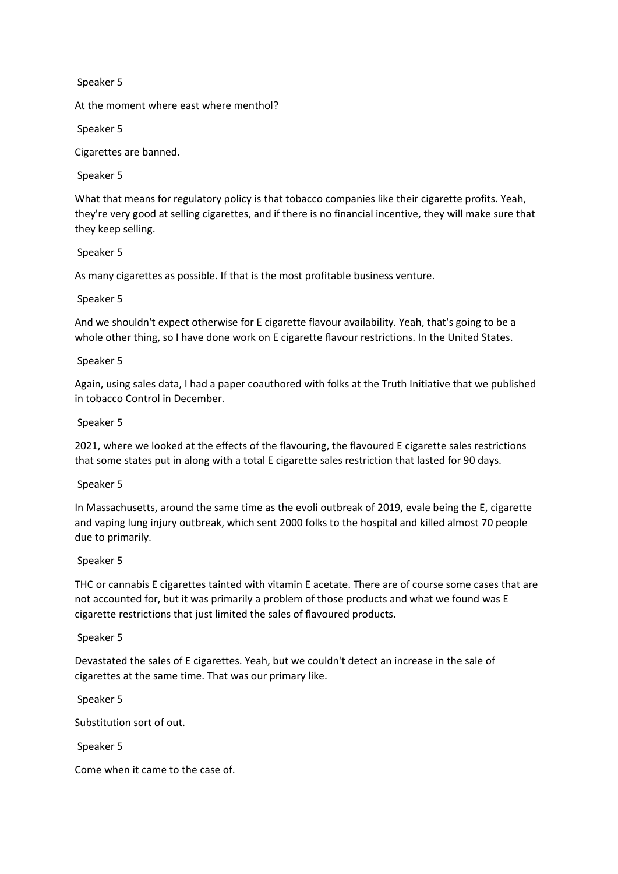At the moment where east where menthol?

Speaker 5

Cigarettes are banned.

Speaker 5

What that means for regulatory policy is that tobacco companies like their cigarette profits. Yeah, they're very good at selling cigarettes, and if there is no financial incentive, they will make sure that they keep selling.

## Speaker 5

As many cigarettes as possible. If that is the most profitable business venture.

## Speaker 5

And we shouldn't expect otherwise for E cigarette flavour availability. Yeah, that's going to be a whole other thing, so I have done work on E cigarette flavour restrictions. In the United States.

## Speaker 5

Again, using sales data, I had a paper coauthored with folks at the Truth Initiative that we published in tobacco Control in December.

## Speaker 5

2021, where we looked at the effects of the flavouring, the flavoured E cigarette sales restrictions that some states put in along with a total E cigarette sales restriction that lasted for 90 days.

#### Speaker 5

In Massachusetts, around the same time as the evoli outbreak of 2019, evale being the E, cigarette and vaping lung injury outbreak, which sent 2000 folks to the hospital and killed almost 70 people due to primarily.

#### Speaker 5

THC or cannabis E cigarettes tainted with vitamin E acetate. There are of course some cases that are not accounted for, but it was primarily a problem of those products and what we found was E cigarette restrictions that just limited the sales of flavoured products.

#### Speaker 5

Devastated the sales of E cigarettes. Yeah, but we couldn't detect an increase in the sale of cigarettes at the same time. That was our primary like.

Speaker 5

Substitution sort of out.

Speaker 5

Come when it came to the case of.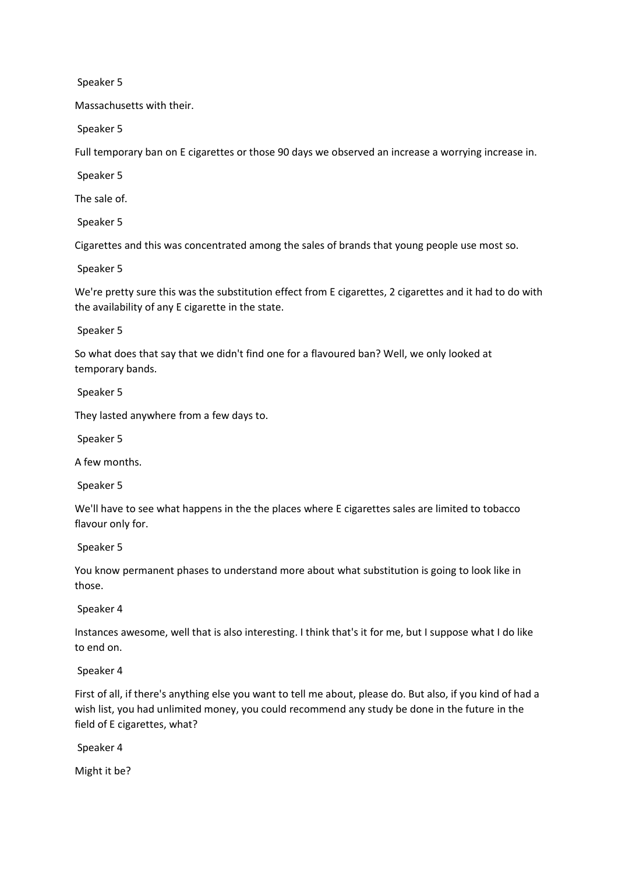Massachusetts with their.

Speaker 5

Full temporary ban on E cigarettes or those 90 days we observed an increase a worrying increase in.

Speaker 5

The sale of.

Speaker 5

Cigarettes and this was concentrated among the sales of brands that young people use most so.

Speaker 5

We're pretty sure this was the substitution effect from E cigarettes, 2 cigarettes and it had to do with the availability of any E cigarette in the state.

Speaker 5

So what does that say that we didn't find one for a flavoured ban? Well, we only looked at temporary bands.

Speaker 5

They lasted anywhere from a few days to.

Speaker 5

A few months.

Speaker 5

We'll have to see what happens in the the places where E cigarettes sales are limited to tobacco flavour only for.

Speaker 5

You know permanent phases to understand more about what substitution is going to look like in those.

Speaker 4

Instances awesome, well that is also interesting. I think that's it for me, but I suppose what I do like to end on.

Speaker 4

First of all, if there's anything else you want to tell me about, please do. But also, if you kind of had a wish list, you had unlimited money, you could recommend any study be done in the future in the field of E cigarettes, what?

Speaker 4

Might it be?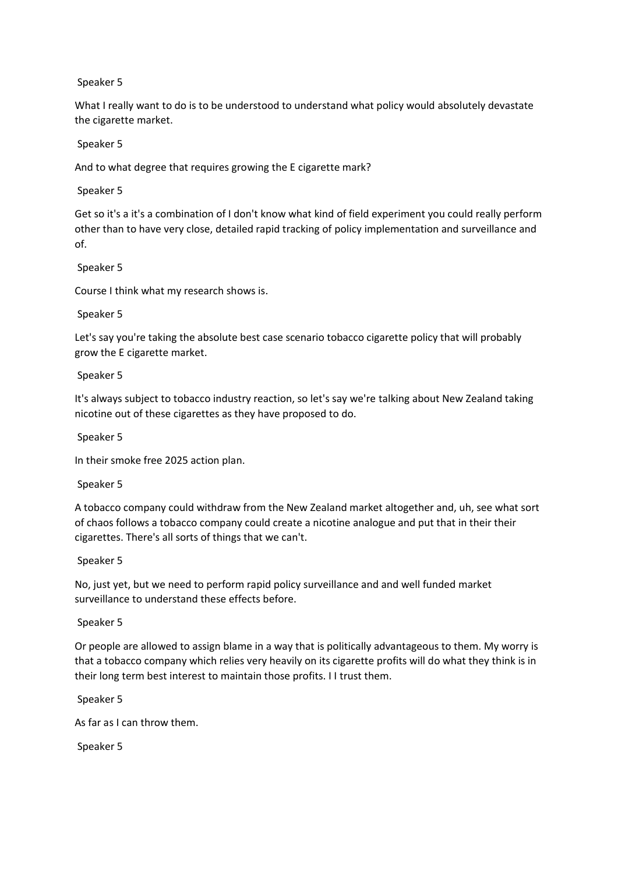What I really want to do is to be understood to understand what policy would absolutely devastate the cigarette market.

### Speaker 5

And to what degree that requires growing the E cigarette mark?

### Speaker 5

Get so it's a it's a combination of I don't know what kind of field experiment you could really perform other than to have very close, detailed rapid tracking of policy implementation and surveillance and of.

## Speaker 5

Course I think what my research shows is.

## Speaker 5

Let's say you're taking the absolute best case scenario tobacco cigarette policy that will probably grow the E cigarette market.

## Speaker 5

It's always subject to tobacco industry reaction, so let's say we're talking about New Zealand taking nicotine out of these cigarettes as they have proposed to do.

### Speaker 5

In their smoke free 2025 action plan.

#### Speaker 5

A tobacco company could withdraw from the New Zealand market altogether and, uh, see what sort of chaos follows a tobacco company could create a nicotine analogue and put that in their their cigarettes. There's all sorts of things that we can't.

#### Speaker 5

No, just yet, but we need to perform rapid policy surveillance and and well funded market surveillance to understand these effects before.

#### Speaker 5

Or people are allowed to assign blame in a way that is politically advantageous to them. My worry is that a tobacco company which relies very heavily on its cigarette profits will do what they think is in their long term best interest to maintain those profits. I I trust them.

Speaker 5

As far as I can throw them.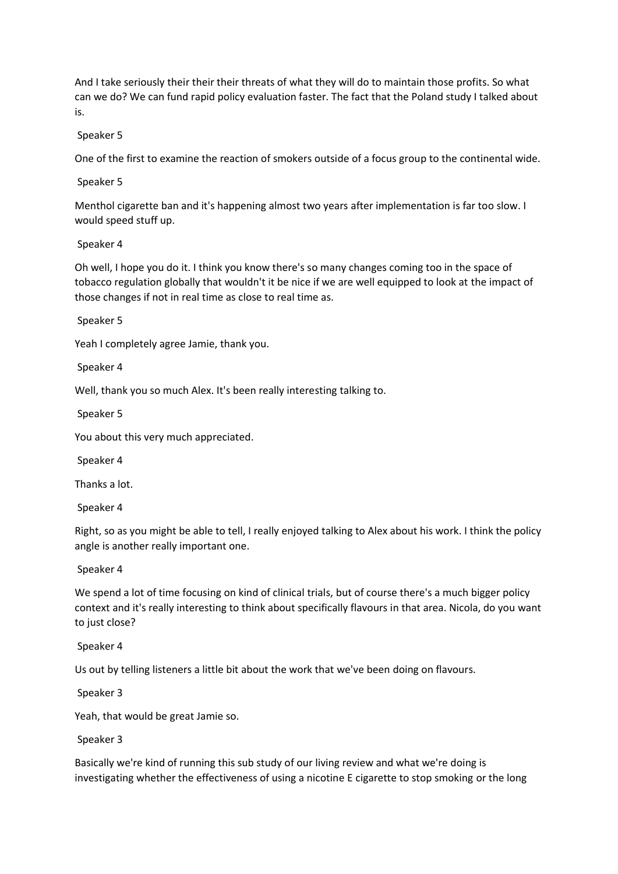And I take seriously their their their threats of what they will do to maintain those profits. So what can we do? We can fund rapid policy evaluation faster. The fact that the Poland study I talked about is.

Speaker 5

One of the first to examine the reaction of smokers outside of a focus group to the continental wide.

Speaker 5

Menthol cigarette ban and it's happening almost two years after implementation is far too slow. I would speed stuff up.

Speaker 4

Oh well, I hope you do it. I think you know there's so many changes coming too in the space of tobacco regulation globally that wouldn't it be nice if we are well equipped to look at the impact of those changes if not in real time as close to real time as.

Speaker 5

Yeah I completely agree Jamie, thank you.

Speaker 4

Well, thank you so much Alex. It's been really interesting talking to.

Speaker 5

You about this very much appreciated.

Speaker 4

Thanks a lot.

Speaker 4

Right, so as you might be able to tell, I really enjoyed talking to Alex about his work. I think the policy angle is another really important one.

Speaker 4

We spend a lot of time focusing on kind of clinical trials, but of course there's a much bigger policy context and it's really interesting to think about specifically flavours in that area. Nicola, do you want to just close?

Speaker 4

Us out by telling listeners a little bit about the work that we've been doing on flavours.

Speaker 3

Yeah, that would be great Jamie so.

Speaker 3

Basically we're kind of running this sub study of our living review and what we're doing is investigating whether the effectiveness of using a nicotine E cigarette to stop smoking or the long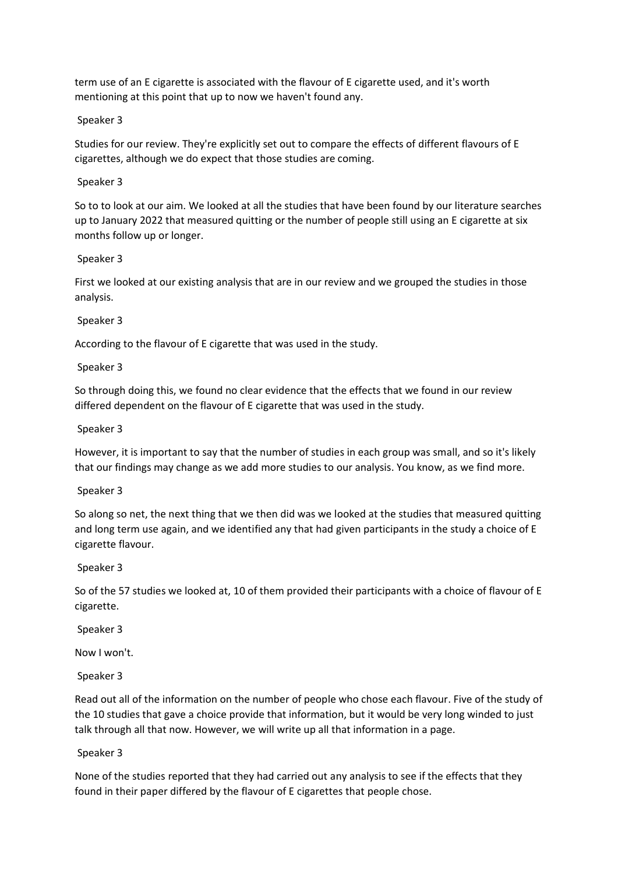term use of an E cigarette is associated with the flavour of E cigarette used, and it's worth mentioning at this point that up to now we haven't found any.

Speaker 3

Studies for our review. They're explicitly set out to compare the effects of different flavours of E cigarettes, although we do expect that those studies are coming.

Speaker 3

So to to look at our aim. We looked at all the studies that have been found by our literature searches up to January 2022 that measured quitting or the number of people still using an E cigarette at six months follow up or longer.

Speaker 3

First we looked at our existing analysis that are in our review and we grouped the studies in those analysis.

Speaker 3

According to the flavour of E cigarette that was used in the study.

Speaker 3

So through doing this, we found no clear evidence that the effects that we found in our review differed dependent on the flavour of E cigarette that was used in the study.

Speaker 3

However, it is important to say that the number of studies in each group was small, and so it's likely that our findings may change as we add more studies to our analysis. You know, as we find more.

Speaker 3

So along so net, the next thing that we then did was we looked at the studies that measured quitting and long term use again, and we identified any that had given participants in the study a choice of E cigarette flavour.

Speaker 3

So of the 57 studies we looked at, 10 of them provided their participants with a choice of flavour of E cigarette.

Speaker 3

Now I won't.

Speaker 3

Read out all of the information on the number of people who chose each flavour. Five of the study of the 10 studies that gave a choice provide that information, but it would be very long winded to just talk through all that now. However, we will write up all that information in a page.

Speaker 3

None of the studies reported that they had carried out any analysis to see if the effects that they found in their paper differed by the flavour of E cigarettes that people chose.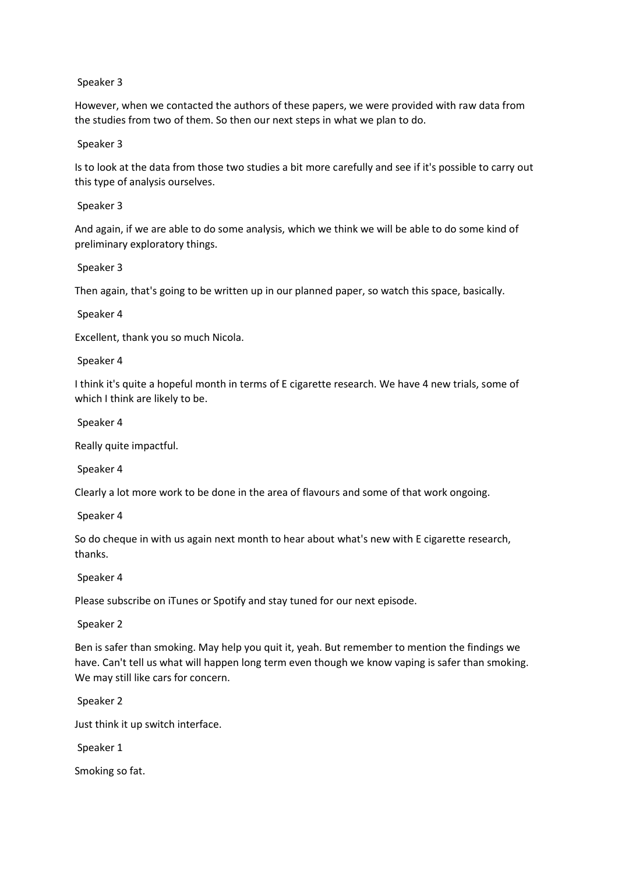However, when we contacted the authors of these papers, we were provided with raw data from the studies from two of them. So then our next steps in what we plan to do.

Speaker 3

Is to look at the data from those two studies a bit more carefully and see if it's possible to carry out this type of analysis ourselves.

Speaker 3

And again, if we are able to do some analysis, which we think we will be able to do some kind of preliminary exploratory things.

Speaker 3

Then again, that's going to be written up in our planned paper, so watch this space, basically.

Speaker 4

Excellent, thank you so much Nicola.

Speaker 4

I think it's quite a hopeful month in terms of E cigarette research. We have 4 new trials, some of which I think are likely to be.

Speaker 4

Really quite impactful.

Speaker 4

Clearly a lot more work to be done in the area of flavours and some of that work ongoing.

Speaker 4

So do cheque in with us again next month to hear about what's new with E cigarette research, thanks.

Speaker 4

Please subscribe on iTunes or Spotify and stay tuned for our next episode.

Speaker 2

Ben is safer than smoking. May help you quit it, yeah. But remember to mention the findings we have. Can't tell us what will happen long term even though we know vaping is safer than smoking. We may still like cars for concern.

Speaker 2

Just think it up switch interface.

Speaker 1

Smoking so fat.